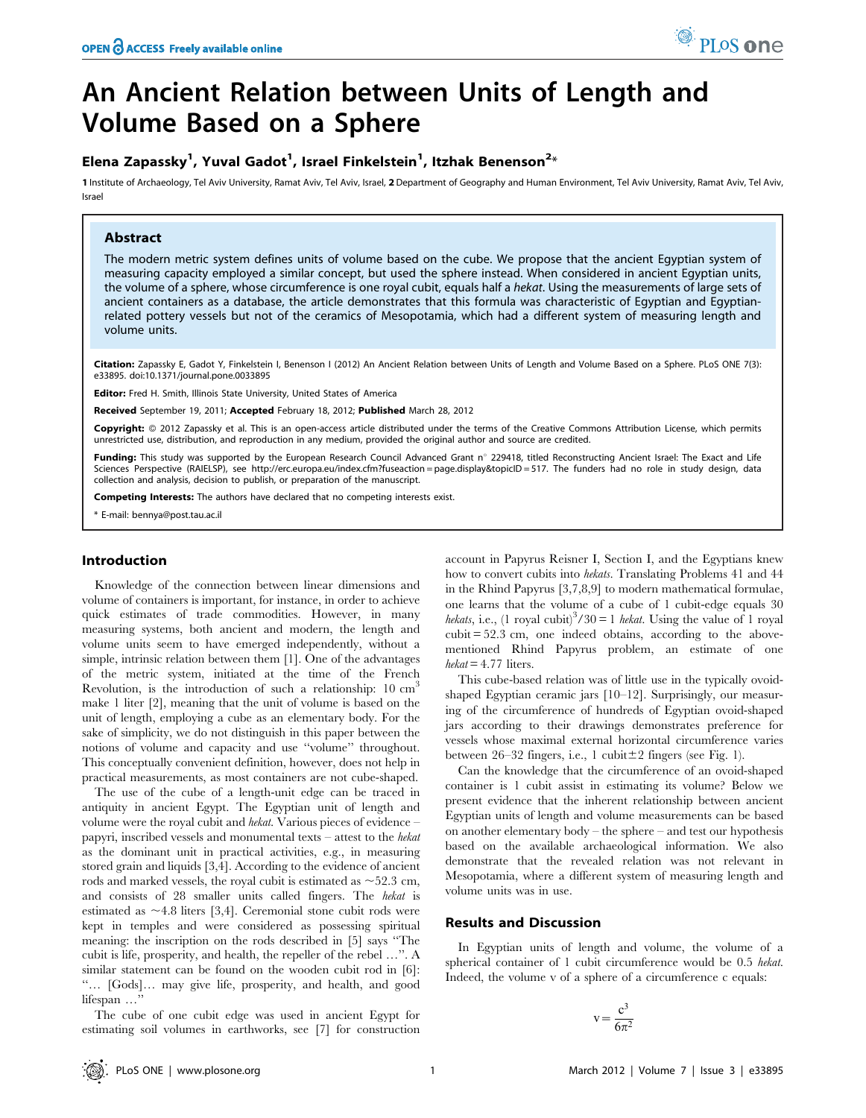# An Ancient Relation between Units of Length and Volume Based on a Sphere

# Elena Zapassky $^1$ , Yuval Gadot $^1$ , Israel Finkelstein $^1$ , Itzhak Benenson $^{2\ast}$

1 Institute of Archaeology, Tel Aviv University, Ramat Aviv, Tel Aviv, Israel, 2 Department of Geography and Human Environment, Tel Aviv University, Ramat Aviv, Tel Aviv, Tel Aviv, Israel

# Abstract

The modern metric system defines units of volume based on the cube. We propose that the ancient Egyptian system of measuring capacity employed a similar concept, but used the sphere instead. When considered in ancient Egyptian units, the volume of a sphere, whose circumference is one royal cubit, equals half a hekat. Using the measurements of large sets of ancient containers as a database, the article demonstrates that this formula was characteristic of Egyptian and Egyptianrelated pottery vessels but not of the ceramics of Mesopotamia, which had a different system of measuring length and volume units.

Citation: Zapassky E, Gadot Y, Finkelstein I, Benenson I (2012) An Ancient Relation between Units of Length and Volume Based on a Sphere. PLoS ONE 7(3): e33895. doi:10.1371/journal.pone.0033895

Editor: Fred H. Smith, Illinois State University, United States of America

Received September 19, 2011; Accepted February 18, 2012; Published March 28, 2012

Copyright: © 2012 Zapassky et al. This is an open-access article distributed under the terms of the Creative Commons Attribution License, which permits unrestricted use, distribution, and reproduction in any medium, provided the original author and source are credited.

Funding: This study was supported by the European Research Council Advanced Grant n° 229418, titled Reconstructing Ancient Israel: The Exact and Life Sciences Perspective (RAIELSP), see http://erc.europa.eu/index.cfm?fuseaction = page.display&topicID = 517. The funders had no role in study design, data collection and analysis, decision to publish, or preparation of the manuscript.

Competing Interests: The authors have declared that no competing interests exist.

\* E-mail: bennya@post.tau.ac.il

#### Introduction

Knowledge of the connection between linear dimensions and volume of containers is important, for instance, in order to achieve quick estimates of trade commodities. However, in many measuring systems, both ancient and modern, the length and volume units seem to have emerged independently, without a simple, intrinsic relation between them [1]. One of the advantages of the metric system, initiated at the time of the French Revolution, is the introduction of such a relationship: 10 cm<sup>3</sup> make 1 liter [2], meaning that the unit of volume is based on the unit of length, employing a cube as an elementary body. For the sake of simplicity, we do not distinguish in this paper between the notions of volume and capacity and use ''volume'' throughout. This conceptually convenient definition, however, does not help in practical measurements, as most containers are not cube-shaped.

The use of the cube of a length-unit edge can be traced in antiquity in ancient Egypt. The Egyptian unit of length and volume were the royal cubit and hekat. Various pieces of evidence – papyri, inscribed vessels and monumental texts – attest to the hekat as the dominant unit in practical activities, e.g., in measuring stored grain and liquids [3,4]. According to the evidence of ancient rods and marked vessels, the royal cubit is estimated as  $\sim$  52.3 cm, and consists of 28 smaller units called fingers. The hekat is estimated as  $\sim$  4.8 liters [3,4]. Ceremonial stone cubit rods were kept in temples and were considered as possessing spiritual meaning: the inscription on the rods described in [5] says ''The cubit is life, prosperity, and health, the repeller of the rebel …''. A similar statement can be found on the wooden cubit rod in [6]: ''… [Gods]… may give life, prosperity, and health, and good lifespan …''

The cube of one cubit edge was used in ancient Egypt for estimating soil volumes in earthworks, see [7] for construction account in Papyrus Reisner I, Section I, and the Egyptians knew how to convert cubits into hekats. Translating Problems 41 and 44 in the Rhind Papyrus [3,7,8,9] to modern mathematical formulae, one learns that the volume of a cube of 1 cubit-edge equals 30 hekats, i.e., (1 royal cubit)<sup>3</sup>/30 = 1 hekat. Using the value of 1 royal cubit = 52.3 cm, one indeed obtains, according to the abovementioned Rhind Papyrus problem, an estimate of one  $hekat = 4.77$  liters.

This cube-based relation was of little use in the typically ovoidshaped Egyptian ceramic jars [10–12]. Surprisingly, our measuring of the circumference of hundreds of Egyptian ovoid-shaped jars according to their drawings demonstrates preference for vessels whose maximal external horizontal circumference varies between 26–32 fingers, i.e., 1 cubit $\pm 2$  fingers (see Fig. 1).

Can the knowledge that the circumference of an ovoid-shaped container is 1 cubit assist in estimating its volume? Below we present evidence that the inherent relationship between ancient Egyptian units of length and volume measurements can be based on another elementary body – the sphere – and test our hypothesis based on the available archaeological information. We also demonstrate that the revealed relation was not relevant in Mesopotamia, where a different system of measuring length and volume units was in use.

### Results and Discussion

In Egyptian units of length and volume, the volume of a spherical container of 1 cubit circumference would be 0.5 hekat. Indeed, the volume v of a sphere of a circumference c equals:

$$
v = \frac{c^3}{6\pi^2}
$$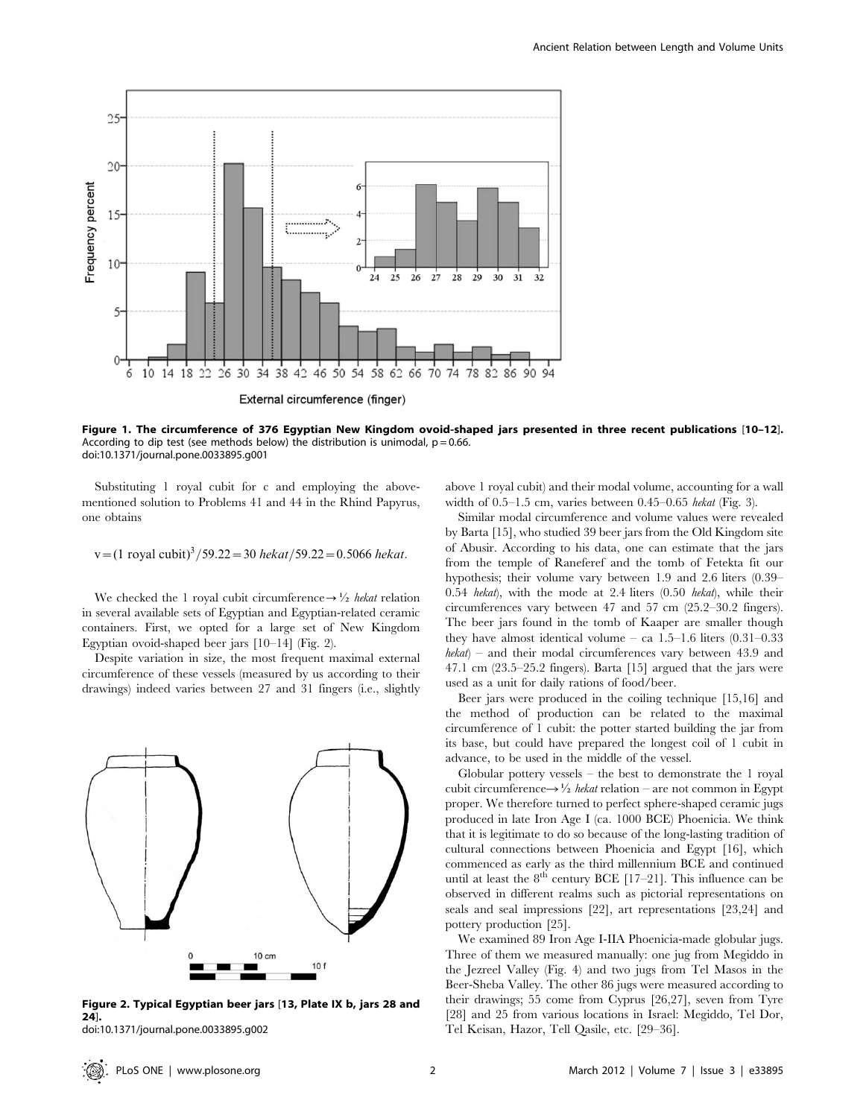

Figure 1. The circumference of 376 Egyptian New Kingdom ovoid-shaped jars presented in three recent publications [10–12]. According to dip test (see methods below) the distribution is unimodal,  $p = 0.66$ . doi:10.1371/journal.pone.0033895.g001

Substituting 1 royal cubit for c and employing the abovementioned solution to Problems 41 and 44 in the Rhind Papyrus, one obtains

v=(1 royal cubit)<sup>3</sup>/59.22 = 30 
$$
hekat/59.22 = 0.5066
$$
 *hekat*.

We checked the 1 royal cubit circumference  $\rightarrow \frac{1}{2}$  hekat relation in several available sets of Egyptian and Egyptian-related ceramic containers. First, we opted for a large set of New Kingdom Egyptian ovoid-shaped beer jars [10–14] (Fig. 2).

Despite variation in size, the most frequent maximal external circumference of these vessels (measured by us according to their drawings) indeed varies between 27 and 31 fingers (i.e., slightly



Figure 2. Typical Egyptian beer jars [13, Plate IX b, jars 28 and 24].

doi:10.1371/journal.pone.0033895.g002

above 1 royal cubit) and their modal volume, accounting for a wall width of 0.5–1.5 cm, varies between 0.45–0.65 hekat (Fig. 3).

Similar modal circumference and volume values were revealed by Barta [15], who studied 39 beer jars from the Old Kingdom site of Abusir. According to his data, one can estimate that the jars from the temple of Raneferef and the tomb of Fetekta fit our hypothesis; their volume vary between 1.9 and 2.6 liters (0.39– 0.54 hekat), with the mode at 2.4 liters (0.50 hekat), while their circumferences vary between 47 and 57 cm (25.2–30.2 fingers). The beer jars found in the tomb of Kaaper are smaller though they have almost identical volume – ca 1.5–1.6 liters (0.31–0.33 hekat) – and their modal circumferences vary between 43.9 and 47.1 cm (23.5–25.2 fingers). Barta [15] argued that the jars were used as a unit for daily rations of food/beer.

Beer jars were produced in the coiling technique [15,16] and the method of production can be related to the maximal circumference of 1 cubit: the potter started building the jar from its base, but could have prepared the longest coil of 1 cubit in advance, to be used in the middle of the vessel.

Globular pottery vessels  $-$  the best to demonstrate the 1 royal cubit circumference $\rightarrow \frac{1}{2}$  hekat relation – are not common in Egypt proper. We therefore turned to perfect sphere-shaped ceramic jugs produced in late Iron Age I (ca. 1000 BCE) Phoenicia. We think that it is legitimate to do so because of the long-lasting tradition of cultural connections between Phoenicia and Egypt [16], which commenced as early as the third millennium BCE and continued until at least the  $8^{th}$  century BCE [17–21]. This influence can be observed in different realms such as pictorial representations on seals and seal impressions [22], art representations [23,24] and pottery production [25].

We examined 89 Iron Age I-IIA Phoenicia-made globular jugs. Three of them we measured manually: one jug from Megiddo in the Jezreel Valley (Fig. 4) and two jugs from Tel Masos in the Beer-Sheba Valley. The other 86 jugs were measured according to their drawings; 55 come from Cyprus [26,27], seven from Tyre [28] and 25 from various locations in Israel: Megiddo, Tel Dor, Tel Keisan, Hazor, Tell Qasile, etc. [29–36].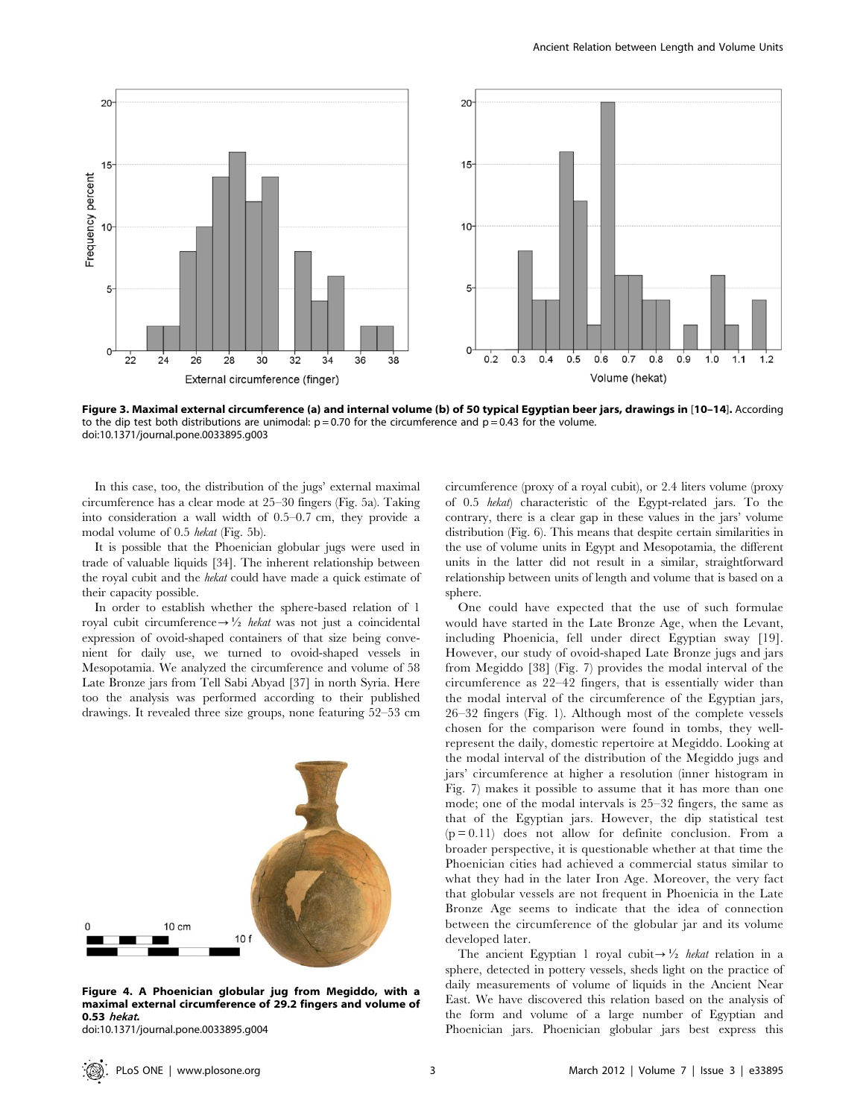

Figure 3. Maximal external circumference (a) and internal volume (b) of 50 typical Egyptian beer jars, drawings in [10–14]. According to the dip test both distributions are unimodal:  $p = 0.70$  for the circumference and  $p = 0.43$  for the volume. doi:10.1371/journal.pone.0033895.g003

In this case, too, the distribution of the jugs' external maximal circumference has a clear mode at 25–30 fingers (Fig. 5a). Taking into consideration a wall width of 0.5–0.7 cm, they provide a modal volume of 0.5 hekat (Fig. 5b).

It is possible that the Phoenician globular jugs were used in trade of valuable liquids [34]. The inherent relationship between the royal cubit and the hekat could have made a quick estimate of their capacity possible.

In order to establish whether the sphere-based relation of 1 royal cubit circumference $\rightarrow \frac{1}{2}$  hekat was not just a coincidental expression of ovoid-shaped containers of that size being convenient for daily use, we turned to ovoid-shaped vessels in Mesopotamia. We analyzed the circumference and volume of 58 Late Bronze jars from Tell Sabi Abyad [37] in north Syria. Here too the analysis was performed according to their published drawings. It revealed three size groups, none featuring 52–53 cm



Figure 4. A Phoenician globular jug from Megiddo, with a maximal external circumference of 29.2 fingers and volume of 0.53 hekat.

doi:10.1371/journal.pone.0033895.g004

circumference (proxy of a royal cubit), or 2.4 liters volume (proxy of 0.5 hekat) characteristic of the Egypt-related jars. To the contrary, there is a clear gap in these values in the jars' volume distribution (Fig. 6). This means that despite certain similarities in the use of volume units in Egypt and Mesopotamia, the different units in the latter did not result in a similar, straightforward relationship between units of length and volume that is based on a sphere.

One could have expected that the use of such formulae would have started in the Late Bronze Age, when the Levant, including Phoenicia, fell under direct Egyptian sway [19]. However, our study of ovoid-shaped Late Bronze jugs and jars from Megiddo [38] (Fig. 7) provides the modal interval of the circumference as 22–42 fingers, that is essentially wider than the modal interval of the circumference of the Egyptian jars, 26–32 fingers (Fig. 1). Although most of the complete vessels chosen for the comparison were found in tombs, they wellrepresent the daily, domestic repertoire at Megiddo. Looking at the modal interval of the distribution of the Megiddo jugs and jars' circumference at higher a resolution (inner histogram in Fig. 7) makes it possible to assume that it has more than one mode; one of the modal intervals is 25–32 fingers, the same as that of the Egyptian jars. However, the dip statistical test  $(p=0.11)$  does not allow for definite conclusion. From a broader perspective, it is questionable whether at that time the Phoenician cities had achieved a commercial status similar to what they had in the later Iron Age. Moreover, the very fact that globular vessels are not frequent in Phoenicia in the Late Bronze Age seems to indicate that the idea of connection between the circumference of the globular jar and its volume developed later.

The ancient Egyptian 1 royal cubit  $\rightarrow \frac{1}{2}$  hekat relation in a sphere, detected in pottery vessels, sheds light on the practice of daily measurements of volume of liquids in the Ancient Near East. We have discovered this relation based on the analysis of the form and volume of a large number of Egyptian and Phoenician jars. Phoenician globular jars best express this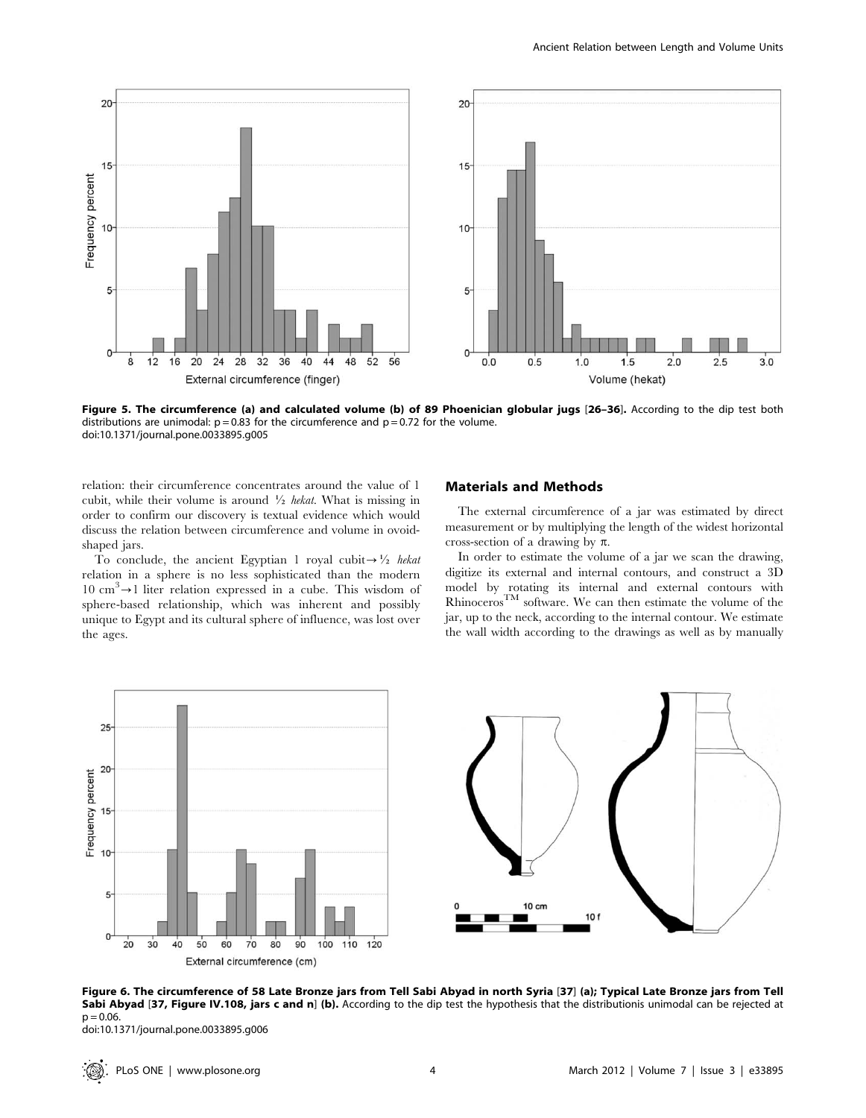

Figure 5. The circumference (a) and calculated volume (b) of 89 Phoenician globular jugs [26-36]. According to the dip test both distributions are unimodal:  $p = 0.83$  for the circumference and  $p = 0.72$  for the volume. doi:10.1371/journal.pone.0033895.g005

relation: their circumference concentrates around the value of 1 cubit, while their volume is around  $\frac{1}{2}$  hekat. What is missing in order to confirm our discovery is textual evidence which would discuss the relation between circumference and volume in ovoidshaped jars.

To conclude, the ancient Egyptian 1 royal cubit  $\rightarrow \frac{1}{2}$  hekat relation in a sphere is no less sophisticated than the modern 10 cm<sup>3</sup> $\rightarrow$ 1 liter relation expressed in a cube. This wisdom of sphere-based relationship, which was inherent and possibly unique to Egypt and its cultural sphere of influence, was lost over the ages.

## Materials and Methods

The external circumference of a jar was estimated by direct measurement or by multiplying the length of the widest horizontal cross-section of a drawing by  $\pi$ .

In order to estimate the volume of a jar we scan the drawing, digitize its external and internal contours, and construct a 3D model by rotating its internal and external contours with  $R$ hinoceros<sup>TM</sup> software. We can then estimate the volume of the jar, up to the neck, according to the internal contour. We estimate the wall width according to the drawings as well as by manually





Figure 6. The circumference of 58 Late Bronze jars from Tell Sabi Abyad in north Syria [37] (a); Typical Late Bronze jars from Tell Sabi Abyad [37, Figure IV.108, jars c and n] (b). According to the dip test the hypothesis that the distributionis unimodal can be rejected at  $p = 0.06$ .

doi:10.1371/journal.pone.0033895.g006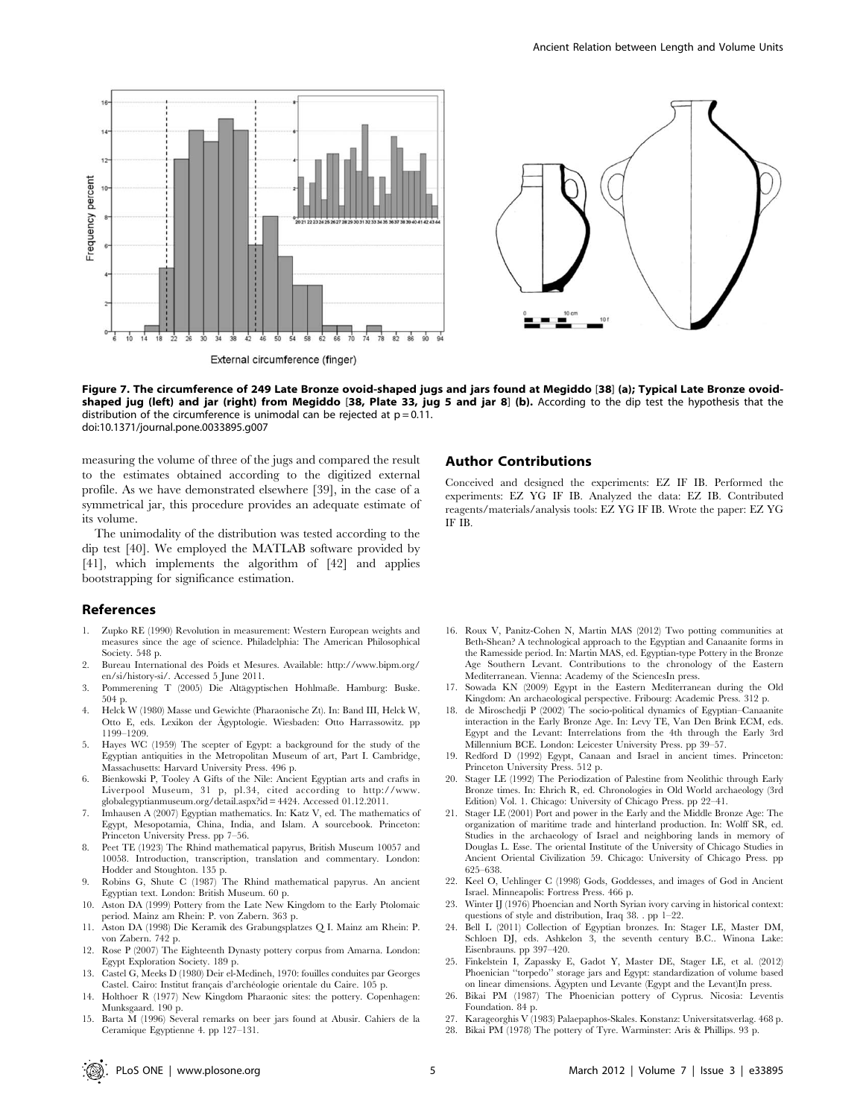

Figure 7. The circumference of 249 Late Bronze ovoid-shaped jugs and jars found at Megiddo [38] (a); Typical Late Bronze ovoidshaped jug (left) and jar (right) from Megiddo [38, Plate 33, jug 5 and jar 8] (b). According to the dip test the hypothesis that the distribution of the circumference is unimodal can be rejected at  $p = 0.11$ . doi:10.1371/journal.pone.0033895.g007

measuring the volume of three of the jugs and compared the result to the estimates obtained according to the digitized external profile. As we have demonstrated elsewhere [39], in the case of a symmetrical jar, this procedure provides an adequate estimate of its volume.

The unimodality of the distribution was tested according to the dip test [40]. We employed the MATLAB software provided by [41], which implements the algorithm of [42] and applies bootstrapping for significance estimation.

#### References

- 1. Zupko RE (1990) Revolution in measurement: Western European weights and measures since the age of science. Philadelphia: The American Philosophical Society. 548 p.
- 2. Bureau International des Poids et Mesures. Available: http://www.bipm.org/ en/si/history-si/. Accessed 5 June 2011.
- 3. Pommerening T (2005) Die Altägyptischen Hohlmaße. Hamburg: Buske. 504 p.
- 4. Helck W (1980) Masse und Gewichte (Pharaonische Zt). In: Band III, Helck W, Otto E, eds. Lexikon der Ägyptologie. Wiesbaden: Otto Harrassowitz. pp 1199–1209.
- 5. Hayes WC (1959) The scepter of Egypt: a background for the study of the Egyptian antiquities in the Metropolitan Museum of art, Part I. Cambridge, Massachusetts: Harvard University Press. 496 p.
- 6. Bienkowski P, Tooley A Gifts of the Nile: Ancient Egyptian arts and crafts in Liverpool Museum, 31 p, pl.34, cited according to http://www. globalegyptianmuseum.org/detail.aspx?id = 4424. Accessed 01.12.2011.
- 7. Imhausen A (2007) Egyptian mathematics. In: Katz V, ed. The mathematics of Egypt, Mesopotamia, China, India, and Islam. A sourcebook. Princeton: Princeton University Press. pp 7–56.
- 8. Peet TE (1923) The Rhind mathematical papyrus, British Museum 10057 and 10058. Introduction, transcription, translation and commentary. London: Hodder and Stoughton. 135 p.
- 9. Robins G, Shute C (1987) The Rhind mathematical papyrus. An ancient Egyptian text. London: British Museum. 60 p.
- 10. Aston DA (1999) Pottery from the Late New Kingdom to the Early Ptolomaic period. Mainz am Rhein: P. von Zabern. 363 p.
- 11. Aston DA (1998) Die Keramik des Grabungsplatzes Q I. Mainz am Rhein: P. von Zabern. 742 p.
- 12. Rose P (2007) The Eighteenth Dynasty pottery corpus from Amarna. London: Egypt Exploration Society. 189 p.
- 13. Castel G, Meeks D (1980) Deir el-Medineh, 1970: fouilles conduites par Georges Castel. Cairo: Institut français d'archéologie orientale du Caire. 105 p.
- 14. Holthoer R (1977) New Kingdom Pharaonic sites: the pottery. Copenhagen: Munksgaard. 190 p.
- 15. Barta M (1996) Several remarks on beer jars found at Abusir. Cahiers de la Ceramique Egyptienne 4. pp 127–131.

#### Author Contributions

Conceived and designed the experiments: EZ IF IB. Performed the experiments: EZ YG IF IB. Analyzed the data: EZ IB. Contributed reagents/materials/analysis tools: EZ YG IF IB. Wrote the paper: EZ YG IF IB.

- 16. Roux V, Panitz-Cohen N, Martin MAS (2012) Two potting communities at Beth-Shean? A technological approach to the Egyptian and Canaanite forms in the Ramesside period. In: Martin MAS, ed. Egyptian-type Pottery in the Bronze Age Southern Levant. Contributions to the chronology of the Eastern Mediterranean. Vienna: Academy of the SciencesIn press.
- 17. Sowada KN (2009) Egypt in the Eastern Mediterranean during the Old Kingdom: An archaeological perspective. Fribourg: Academic Press. 312 p.
- 18. de Miroschedji P (2002) The socio-political dynamics of Egyptian–Canaanite interaction in the Early Bronze Age. In: Levy TE, Van Den Brink ECM, eds. Egypt and the Levant: Interrelations from the 4th through the Early 3rd Millennium BCE. London: Leicester University Press. pp 39–57.
- 19. Redford D (1992) Egypt, Canaan and Israel in ancient times. Princeton: Princeton University Press. 512 p.
- 20. Stager LE (1992) The Periodization of Palestine from Neolithic through Early Bronze times. In: Ehrich R, ed. Chronologies in Old World archaeology (3rd Edition) Vol. 1. Chicago: University of Chicago Press. pp 22–41.
- 21. Stager LE (2001) Port and power in the Early and the Middle Bronze Age: The organization of maritime trade and hinterland production. In: Wolff SR, ed. Studies in the archaeology of Israel and neighboring lands in memory of Douglas L. Esse. The oriental Institute of the University of Chicago Studies in Ancient Oriental Civilization 59. Chicago: University of Chicago Press. pp 625–638.
- 22. Keel O, Uehlinger C (1998) Gods, Goddesses, and images of God in Ancient Israel. Minneapolis: Fortress Press. 466 p.
- 23. Winter IJ (1976) Phoencian and North Syrian ivory carving in historical context: questions of style and distribution, Iraq 38. . pp 1–22.
- 24. Bell L (2011) Collection of Egyptian bronzes. In: Stager LE, Master DM, Schloen DJ, eds. Ashkelon 3, the seventh century B.C.. Winona Lake: Eisenbrauns. pp 397–420.
- 25. Finkelstein I, Zapassky E, Gadot Y, Master DE, Stager LE, et al. (2012) Phoenician ''torpedo'' storage jars and Egypt: standardization of volume based on linear dimensions. Ägypten und Levante (Egypt and the Levant)In press.
- 26. Bikai PM (1987) The Phoenician pottery of Cyprus. Nicosia: Leventis Foundation. 84 p.
- 27. Karageorghis V (1983) Palaepaphos-Skales. Konstanz: Universitatsverlag. 468 p.
- 28. Bikai PM (1978) The pottery of Tyre. Warminster: Aris & Phillips. 93 p.